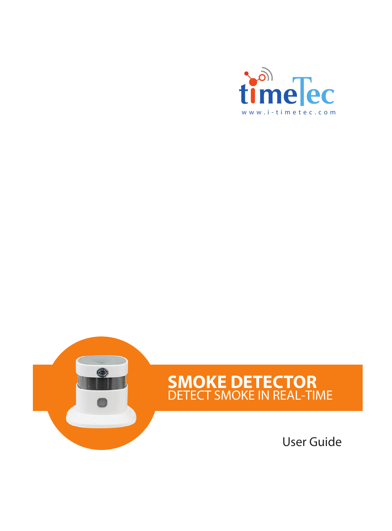



# **SMOKE DETECTOR**<br>DETECT SMOKE IN REAL-TIME

User Guide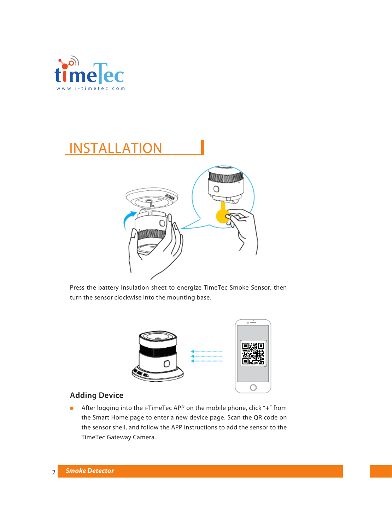

## INSTALLATION



Press the battery insulation sheet to energize TimeTec Smoke Sensor, then turn the sensor clockwise into the mounting base.



### **Adding Device**

After logging into the i-TimeTec APP on the mobile phone, click "+" from  $\bullet$ the Smart Home page to enter a new device page. Scan the QR code on the sensor shell, and follow the APP instructions to add the sensor to the TimeTec Gateway Camera.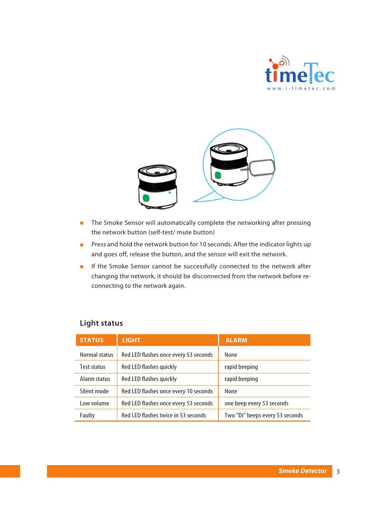



- The Smoke Sensor will automatically complete the networking after pressing Ä the network button (self-test/ mute button)
- **Press and hold the network button for 10 seconds. After the indicator lights up** and goes off, release the button, and the sensor will exit the network.
- **If the Smoke Sensor cannot be successfully connected to the network after** changing the network, it should be disconnected from the network before reconnecting to the network again.

|  | <b>Light status</b> |
|--|---------------------|
|--|---------------------|

| <b>STATUS</b> | <b>LIGHT</b>                          | <b>ALARM</b>                    |
|---------------|---------------------------------------|---------------------------------|
| Normal status | Red LED flashes once every 53 seconds | None                            |
| Test status   | Red LED flashes quickly               | rapid beeping                   |
| Alarm status  | Red LED flashes quickly               | rapid beeping                   |
| Silent mode   | Red LED flashes once every 10 seconds | None                            |
| Low volume    | Red LED flashes once every 53 seconds | one beep every 53 seconds       |
| Faulty        | Red LED flashes twice in 53 seconds   | Two "Di" beeps every 53 seconds |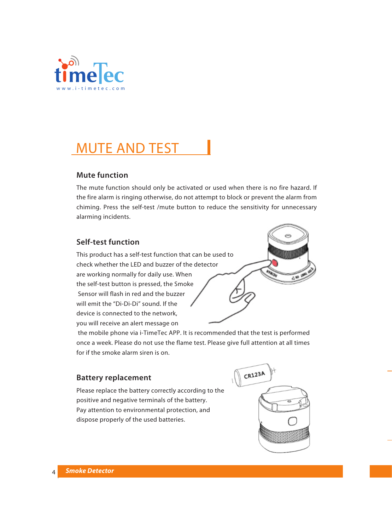

## MUTE AND TEST

#### **Mute function**

The mute function should only be activated or used when there is no fire hazard. If the fire alarm is ringing otherwise, do not attempt to block or prevent the alarm from chiming. Press the self-test /mute button to reduce the sensitivity for unnecessary alarming incidents.

#### **Self-test function**

This product has a self-test function that can be used to check whether the LED and buzzer of the detector are working normally for daily use. When the self-test button is pressed, the Smoke Sensor will flash in red and the buzzer will emit the "Di-Di-Di" sound. If the device is connected to the network, you will receive an alert message on

 the mobile phone via i-TimeTec APP. It is recommended that the test is performed once a week. Please do not use the flame test. Please give full attention at all times for if the smoke alarm siren is on.

#### **Battery replacement**

Please replace the battery correctly according to the positive and negative terminals of the battery. Pay attention to environmental protection, and dispose properly of the used batteries.

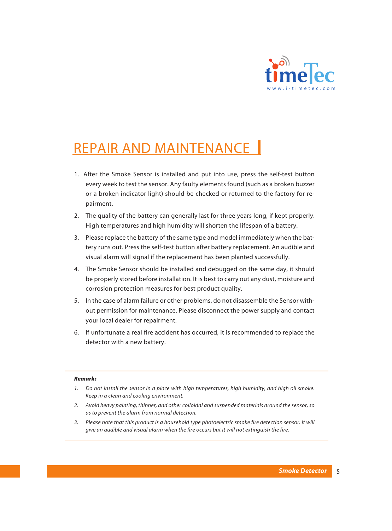

## REPAIR AND MAINTENANCE

- 1. After the Smoke Sensor is installed and put into use, press the self-test button every week to test the sensor. Any faulty elements found (such as a broken buzzer or a broken indicator light) should be checked or returned to the factory for repairment.
- 2. The quality of the battery can generally last for three years long, if kept properly. High temperatures and high humidity will shorten the lifespan of a battery.
- 3. Please replace the battery of the same type and model immediately when the battery runs out. Press the self-test button after battery replacement. An audible and visual alarm will signal if the replacement has been planted successfully.
- 4. The Smoke Sensor should be installed and debugged on the same day, it should be properly stored before installation. It is best to carry out any dust, moisture and corrosion protection measures for best product quality.
- 5. In the case of alarm failure or other problems, do not disassemble the Sensor without permission for maintenance. Please disconnect the power supply and contact your local dealer for repairment.
- 6. If unfortunate a real fire accident has occurred, it is recommended to replace the detector with a new battery.

#### *Remark:*

- *1. Do not install the sensor in a place with high temperatures, high humidity, and high oil smoke. Keep in a clean and cooling environment.*
- *2. Avoid heavy painting, thinner, and other colloidal and suspended materials around the sensor, so as to prevent the alarm from normal detection.*
- *3. Please note that this product is a household type photoelectric smoke fire detection sensor. It will give an audible and visual alarm when the fire occurs but it will not extinguish the fire.*